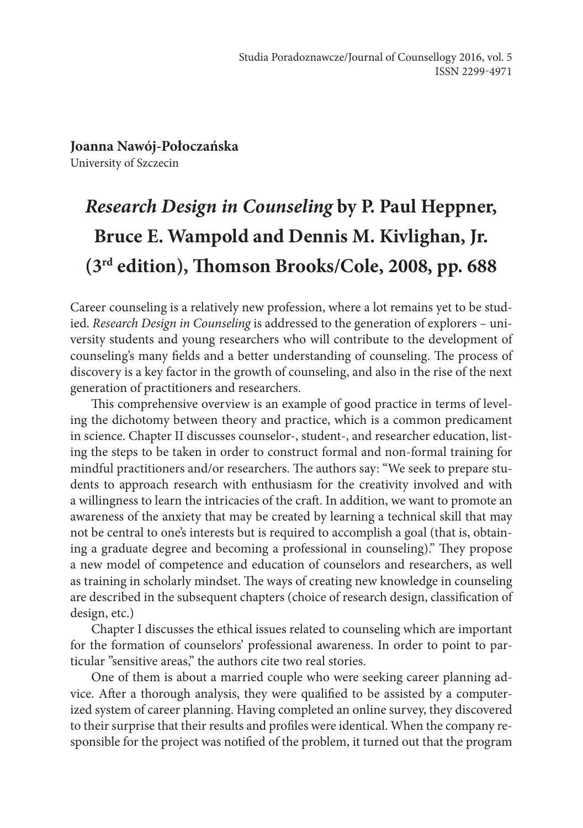**Joanna Nawój-Połoczańska** University of Szczecin

## *Research Design in Counseling* **by P. Paul Heppner, Bruce E. Wampold and Dennis M. Kivlighan, Jr. (3rd edition), Thomson Brooks/Cole, 2008, pp. 688**

Career counseling is a relatively new profession, where a lot remains yet to be stud‑ ied. *Research Design in Counseling* is addressed to the generation of explorers – university students and young researchers who will contribute to the development of counseling's many fields and a better understanding of counseling. The process of discovery is a key factor in the growth of counseling, and also in the rise of the next generation of practitioners and researchers.

This comprehensive overview is an example of good practice in terms of leveling the dichotomy between theory and practice, which is a common predicament in science. Chapter II discusses counselor-, student-, and researcher education, listing the steps to be taken in order to construct formal and non-formal training for mindful practitioners and/or researchers. The authors say: "We seek to prepare students to approach research with enthusiasm for the creativity involved and with a willingness to learn the intricacies of the craft. In addition, we want to promote an awareness of the anxiety that may be created by learning a technical skill that may not be central to one's interests but is required to accomplish a goal (that is, obtaining a graduate degree and becoming a professional in counseling)." They propose a new model of competence and education of counselors and researchers, as well as training in scholarly mindset. The ways of creating new knowledge in counseling are described in the subsequent chapters (choice of research design, classification of design, etc.)

Chapter I discusses the ethical issues related to counseling which are important for the formation of counselors' professional awareness. In order to point to particular "sensitive areas," the authors cite two real stories.

One of them is about a married couple who were seeking career planning advice. After a thorough analysis, they were qualified to be assisted by a computerized system of career planning. Having completed an online survey, they discovered to their surprise that their results and profiles were identical. When the company responsible for the project was notified of the problem, it turned out that the program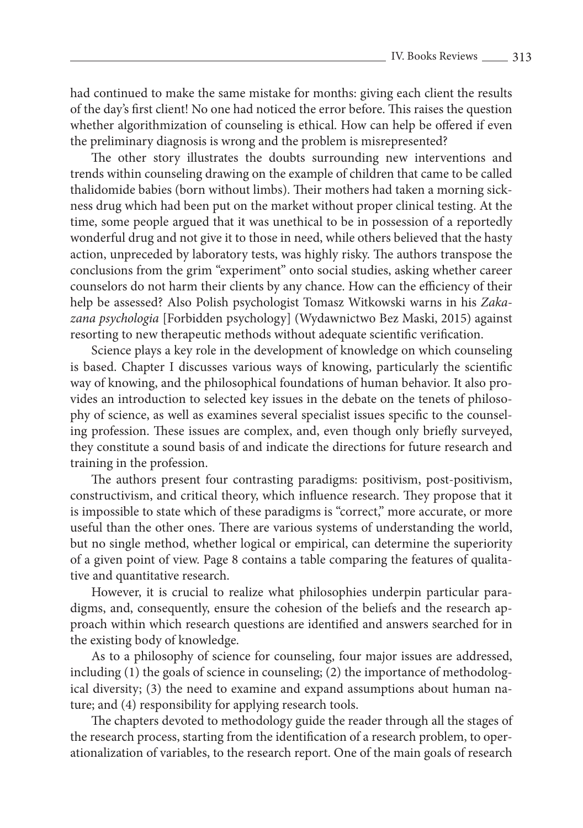had continued to make the same mistake for months: giving each client the results of the day's first client! No one had noticed the error before. This raises the question whether algorithmization of counseling is ethical. How can help be offered if even the preliminary diagnosis is wrong and the problem is misrepresented?

The other story illustrates the doubts surrounding new interventions and trends within counseling drawing on the example of children that came to be called thalidomide babies (born without limbs). Their mothers had taken a morning sickness drug which had been put on the market without proper clinical testing. At the time, some people argued that it was unethical to be in possession of a reportedly wonderful drug and not give it to those in need, while others believed that the hasty action, unpreceded by laboratory tests, was highly risky. The authors transpose the conclusions from the grim "experiment" onto social studies, asking whether career counselors do not harm their clients by any chance. How can the efficiency of their help be assessed? Also Polish psychologist Tomasz Witkowski warns in his *Zakazana psychologia* [Forbidden psychology] (Wydawnictwo Bez Maski, 2015) against resorting to new therapeutic methods without adequate scientific verification.

Science plays a key role in the development of knowledge on which counseling is based. Chapter I discusses various ways of knowing, particularly the scientific way of knowing, and the philosophical foundations of human behavior. It also provides an introduction to selected key issues in the debate on the tenets of philosophy of science, as well as examines several specialist issues specific to the counseling profession. These issues are complex, and, even though only briefly surveyed, they constitute a sound basis of and indicate the directions for future research and training in the profession.

The authors present four contrasting paradigms: positivism, post-positivism, constructivism, and critical theory, which influence research. They propose that it is impossible to state which of these paradigms is "correct," more accurate, or more useful than the other ones. There are various systems of understanding the world, but no single method, whether logical or empirical, can determine the superiority of a given point of view. Page 8 contains a table comparing the features of qualitative and quantitative research.

However, it is crucial to realize what philosophies underpin particular paradigms, and, consequently, ensure the cohesion of the beliefs and the research approach within which research questions are identified and answers searched for in the existing body of knowledge.

As to a philosophy of science for counseling, four major issues are addressed, including  $(1)$  the goals of science in counseling;  $(2)$  the importance of methodological diversity; (3) the need to examine and expand assumptions about human na‑ ture; and (4) responsibility for applying research tools.

The chapters devoted to methodology guide the reader through all the stages of the research process, starting from the identification of a research problem, to operationalization of variables, to the research report. One of the main goals of research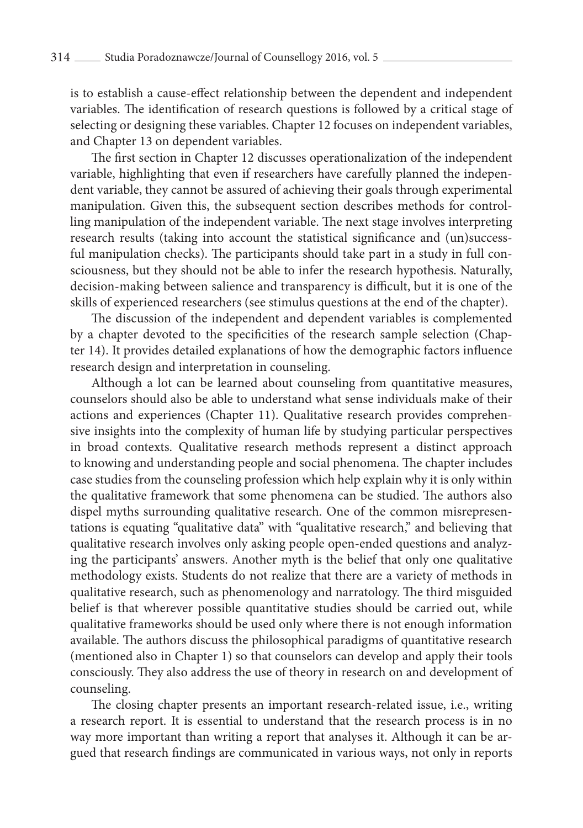is to establish a cause-effect relationship between the dependent and independent variables. The identification of research questions is followed by a critical stage of selecting or designing these variables. Chapter 12 focuses on independent variables, and Chapter 13 on dependent variables.

The first section in Chapter 12 discusses operationalization of the independent variable, highlighting that even if researchers have carefully planned the independent variable, they cannot be assured of achieving their goals through experimental manipulation. Given this, the subsequent section describes methods for controlling manipulation of the independent variable. The next stage involves interpreting research results (taking into account the statistical significance and (un)successful manipulation checks). The participants should take part in a study in full consciousness, but they should not be able to infer the research hypothesis. Naturally, decision-making between salience and transparency is difficult, but it is one of the skills of experienced researchers (see stimulus questions at the end of the chapter).

The discussion of the independent and dependent variables is complemented by a chapter devoted to the specificities of the research sample selection (Chapter 14). It provides detailed explanations of how the demographic factors influence research design and interpretation in counseling.

Although a lot can be learned about counseling from quantitative measures, counselors should also be able to understand what sense individuals make of their actions and experiences (Chapter 11). Qualitative research provides comprehensive insights into the complexity of human life by studying particular perspectives in broad contexts. Qualitative research methods represent a distinct approach to knowing and understanding people and social phenomena. The chapter includes case studies from the counseling profession which help explain why it is only within the qualitative framework that some phenomena can be studied. The authors also dispel myths surrounding qualitative research. One of the common misrepresentations is equating "qualitative data" with "qualitative research," and believing that qualitative research involves only asking people open-ended questions and analyzing the participants' answers. Another myth is the belief that only one qualitative methodology exists. Students do not realize that there are a variety of methods in qualitative research, such as phenomenology and narratology. The third misguided belief is that wherever possible quantitative studies should be carried out, while qualitative frameworks should be used only where there is not enough information available. The authors discuss the philosophical paradigms of quantitative research (mentioned also in Chapter 1) so that counselors can develop and apply their tools consciously. They also address the use of theory in research on and development of counseling.

The closing chapter presents an important research-related issue, i.e., writing a research report. It is essential to understand that the research process is in no way more important than writing a report that analyses it. Although it can be argued that research findings are communicated in various ways, not only in reports